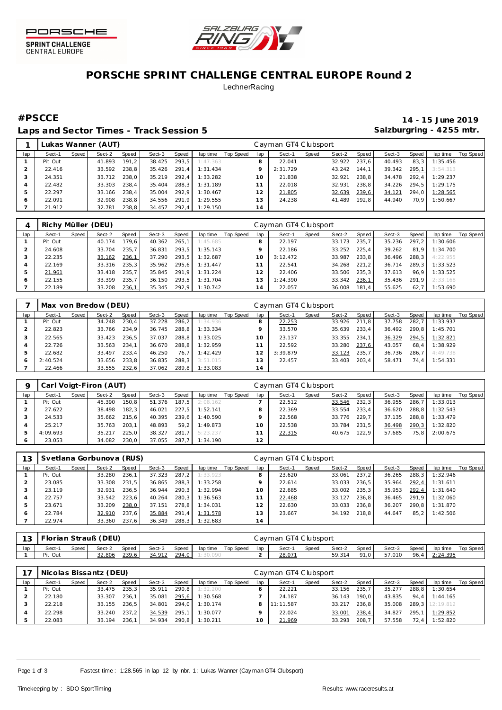



## **PORSCHE SPRINT CHALLENGE CENTRAL EUROPE Round 2 LechnerRacing**

Laps and Sector Times - Track Session 5 **Salzburgring - 4255 mtr.** And Salzburgring - 4255 mtr.

**#PSCCE 14 - 15 June 2019**

|     |         |       | Lukas Wanner (AUT) |       |        |       |          |           |                      | Cayman GT4 Clubsport |       |        |       |        |       |          |           |
|-----|---------|-------|--------------------|-------|--------|-------|----------|-----------|----------------------|----------------------|-------|--------|-------|--------|-------|----------|-----------|
| lap | Sect-1  | Speed | Sect-2             | Speed | Sect-3 | Speed | lap time | Top Speed | lap                  | Sect-1               | Speed | Sect-2 | Speed | Sect-3 | Speed | lap time | Top Speed |
|     | Pit Out |       | 41.893             | 191.2 | 38.425 | 293.5 | 1:47.363 |           |                      | 22.041               |       | 32.922 | 237.6 | 40.493 | 83.3  | 1:35.456 |           |
|     | 22.416  |       | 33.592             | 238.8 | 35.426 | 291.4 | 1:31.434 |           |                      | 2:31.729             |       | 43.242 | 144.1 | 39.342 | 295.1 | 3:54.313 |           |
|     | 24.351  |       | 33.712             | 238.0 | 35.219 | 292.4 | 1:33.282 |           | 10 <sup>°</sup>      | 21.838               |       | 32.921 | 238.8 | 34.478 | 292.4 | 1:29.237 |           |
|     | 22.482  |       | 33.303             | 238.4 | 35.404 | 288.3 | 1:31.189 |           |                      | 22.018               |       | 32.931 | 238.8 | 34.226 | 294.5 | 1:29.175 |           |
|     | 22.297  |       | 33.166             | 238.4 | 35.004 | 292.9 | 1:30.467 |           |                      | 21.805               |       | 32.639 | 239,6 | 34.121 | 294.0 | 1:28.565 |           |
|     | 22.091  |       | 32.908             | 238.8 | 34.556 | 291.9 | 1:29.555 |           | 3                    | 24.238               |       | 41.489 | 192.8 | 44.940 | 70.9  | 1:50.667 |           |
|     | 21.912  |       | 32.781             | 238.8 | 34.457 | 292.4 | 1:29.150 |           | ×,<br>$\overline{4}$ |                      |       |        |       |        |       |          |           |

|     | Richy Müller (DEU) |       |        |       |        |       |          |           |     | Cayman GT4 Clubsport |       |        |       |        |       |          |                  |
|-----|--------------------|-------|--------|-------|--------|-------|----------|-----------|-----|----------------------|-------|--------|-------|--------|-------|----------|------------------|
| lap | Sect-1             | Speed | Sect-2 | Speed | Sect-3 | Speed | lap time | Top Speed | lap | Sect-1               | Speed | Sect-2 | Speed | Sect-3 | Speed | lap time | <b>Top Speed</b> |
|     | Pit Out            |       | 40.174 | 179.6 | 40.362 | 265.1 | 1:45.685 |           |     | 22.197               |       | 33.173 | 235.7 | 35.236 | 297.2 | 1:30.606 |                  |
|     | 24.608             |       | 33.704 | 235.7 | 36.831 | 293.5 | 1:35.143 |           |     | 22.186               |       | 33.252 | 225.4 | 39.262 | 81.9  | 1:34.700 |                  |
|     | 22.235             |       | 33.162 | 236,1 | 37.290 | 293.5 | 1:32.687 |           | 10  | 3:12.472             |       | 33.987 | 233.8 | 36.496 | 288.3 | 4:22.955 |                  |
|     | 22.169             |       | 33.316 | 235.3 | 35.962 | 295.6 | 1:31.447 |           |     | 22.541               |       | 34.268 | 221.2 | 36.714 | 289.3 | 1:33.523 |                  |
|     | 21.961             |       | 33.418 | 235.7 | 35.845 | 291.9 | 1:31.224 |           |     | 22.406               |       | 33.506 | 235.3 | 37.613 | 96.9  | 1:33.525 |                  |
|     | 22.155             |       | 33.399 | 235.7 | 36.150 | 293.5 | 1:31.704 |           |     | 1:24.390             |       | 33.342 | 236.1 | 35.436 | 291.9 | 2:33.168 |                  |
|     | 22.189             |       | 33.208 | 236,1 | 35.345 | 292,9 | 1:30.742 |           | 14  | 22.057               |       | 36.008 | 181.4 | 55.625 | 62.7  | 1:53.690 |                  |

|               |          |       | Max von Bredow (DEU) |       |        |       |          |           |                | Cayman GT4 Clubsport |       |        |       |        |       |          |                  |
|---------------|----------|-------|----------------------|-------|--------|-------|----------|-----------|----------------|----------------------|-------|--------|-------|--------|-------|----------|------------------|
| lap           | Sect-1   | Speed | Sect-2               | Speed | Sect-3 | Speed | lap time | Top Speed | lap            | Sect-1               | Speed | Sect-2 | Speed | Sect-3 | Speed | lap time | <b>Top Speed</b> |
|               | Pit Out  |       | 34.248               | 230.4 | 37.228 | 286.2 | 1:34.936 |           |                | 22.253               |       | 33.926 | 211.8 | 37.758 | 282.7 | 1:33.937 |                  |
|               | 22.823   |       | 33.766               | 234.9 | 36.745 | 288.8 | 1:33.334 |           |                | 33.570               |       | 35.639 | 233.4 | 36.492 | 290.8 | 1:45.701 |                  |
|               | 22.565   |       | 33.423               | 236.5 | 37.037 | 288.8 | 1:33.025 |           | $\Omega$       | 23.137               |       | 33.355 | 234.1 | 36.329 | 294,5 | 1:32.821 |                  |
|               | 22.726   |       | 33.563               | 234.1 | 36.670 | 288.8 | 1:32.959 |           |                | 22.592               |       | 33.280 | 237.6 | 43.057 | 68.4  | 1:38.929 |                  |
| $\mathcal{P}$ | 22.682   |       | 33.497               | 233.4 | 46.250 | 76.7  | 1:42.429 |           |                | 3:39.879             |       | 33.123 | 235.7 | 36.736 | 286.7 | 4:49.738 |                  |
| -6            | 2:40.524 |       | 33.656               | 233.8 | 36.835 | 288.3 | 3:51.015 |           | 3              | 22.457               |       | 33.403 | 203.4 | 58.471 | 74.4  | 1:54.331 |                  |
|               | 22.466   |       | 33.555               | 232.6 | 37.062 | 289.8 | 1:33.083 |           | 4 <sub>1</sub> |                      |       |        |       |        |       |          |                  |

|     |          |       | Carl Voigt-Firon (AUT) |       |        |       |          |           |     | Cayman GT4 Clubsport |       |        |       |        |       |          |           |
|-----|----------|-------|------------------------|-------|--------|-------|----------|-----------|-----|----------------------|-------|--------|-------|--------|-------|----------|-----------|
| lap | Sect-1   | Speed | Sect-2                 | Speed | Sect-3 | Speed | lap time | Top Speed | lap | Sect-1               | Speed | Sect-2 | Speed | Sect-3 | Speed | lap time | Top Speed |
|     | Pit Out  |       | 45.390                 | 150.8 | 51.376 | 187.5 | 2:08.162 |           |     | 22.512               |       | 33.546 | 232.3 | 36.955 | 286.7 | 1:33.013 |           |
|     | 27.622   |       | 38.498                 | 182.3 | 46.021 | 227.5 | 1:52.141 |           |     | 22.369               |       | 33.554 | 233,4 | 36.620 | 288.8 | 1:32.543 |           |
|     | 24.533   |       | 35.662                 | 215.6 | 40.395 | 239.6 | 1:40.590 |           |     | 22.568               |       | 33.776 | 229.7 | 37.135 | 288.8 | 1:33.479 |           |
|     | 25.217   |       | 35.763                 | 203.1 | 48.893 | 59.2  | 1:49.873 |           |     | 22.538               |       | 33.784 | 231.5 | 36.498 | 290.3 | 1:32.820 |           |
|     | 4:09.693 |       | 35.217                 | 225.0 | 38.327 | 281.7 | 5:23.237 |           |     | 22.315               |       | 40.675 | 122.9 | 57.685 | 75.8  | 2:00.675 |           |
|     | 23.053   |       | 34.082                 | 230.0 | 37.055 | 287.7 | 1:34.190 |           | 12  |                      |       |        |       |        |       |          |           |

| 13           |         |       | Svetlana Gorbunova (RUS) |       |        |       |          |           |               | Cayman GT4 Clubsport |       |        |       |        |       |          |           |
|--------------|---------|-------|--------------------------|-------|--------|-------|----------|-----------|---------------|----------------------|-------|--------|-------|--------|-------|----------|-----------|
| lap          | Sect-1  | Speed | Sect-2                   | Speed | Sect-3 | Speed | lap time | Top Speed | lap           | Sect-1               | Speed | Sect-2 | Speed | Sect-3 | Speed | lap time | Top Speed |
|              | Pit Out |       | 33.280                   | 236.1 | 37.323 | 287.2 | 1:33.923 |           |               | 23.620               |       | 33.061 | 237.2 | 36.265 | 288.3 | 1:32.946 |           |
|              | 23.085  |       | 33.308                   | 231.5 | 36.865 | 288.3 | 1:33.258 |           |               | 22.614               |       | 33.033 | 236.5 | 35.964 | 292.4 | 1:31.611 |           |
|              | 23.119  |       | 32.931                   | 236.5 | 36.944 | 290.3 | 1:32.994 |           |               | 22.685               |       | 33.002 | 235.3 | 35.953 | 292.4 | 1:31.640 |           |
|              | 22.757  |       | 33.542                   | 223.6 | 40.264 | 280.3 | 1:36.563 |           |               | 22.468               |       | 33.127 | 236.8 | 36.465 | 291.9 | 1:32.060 |           |
|              | 23.671  |       | 33.209                   | 238,0 | 37.151 | 278.8 | 1:34.031 |           | $\mathcal{P}$ | 22.630               |       | 33.033 | 236.8 | 36.207 | 290.8 | 1:31.870 |           |
| <sub>0</sub> | 22.784  |       | 32.910                   | 237.6 | 35.884 | 291.4 | 1:31.578 |           | 3             | 23.667               |       | 34.192 | 218.8 | 44.647 | 85.2  | 1:42.506 |           |
|              | 22.974  |       | 33.360                   | 237.6 | 36.349 | 288.3 | 1:32.683 |           | 14            |                      |       |        |       |        |       |          |           |

| 13  |         |       | Florian Strauß (DEU) |              |        |       |          |           |     | Cayman GT4 Clubsport |       |        |       |        |       |          |           |
|-----|---------|-------|----------------------|--------------|--------|-------|----------|-----------|-----|----------------------|-------|--------|-------|--------|-------|----------|-----------|
| lap | Sect-1  | Speed | Sect-2               | <b>Speed</b> | Sect-3 | Speed | lap time | Top Speed | lap | Sect-1               | Speed | Sect-2 | Speed | Sect-3 | Speed | lap time | Top Speed |
|     | Pit Out |       | 32.806               | 239,6        | 34.912 | 294,0 |          |           |     | 28.071               |       | 59.314 | 91.0  | 57.010 | 96,4  | 2:24.395 |           |

|     |         |       | Nicolas Bissantz (DEU) |       |        |       |          |           |     | Cayman GT4 Clubsport |       |        |       |        |       |                 |           |
|-----|---------|-------|------------------------|-------|--------|-------|----------|-----------|-----|----------------------|-------|--------|-------|--------|-------|-----------------|-----------|
| lap | Sect-1  | Speed | Sect-2                 | Speed | Sect-3 | Speed | lap time | Top Speed | lap | Sect-1               | Speed | Sect-2 | Speed | Sect-3 | Speed | lap time        | Top Speed |
|     | Pit Out |       | 33.475                 | 235.3 | 35.911 | 290.8 | 1:32.200 |           |     | 22.221               |       | 33.156 | 235.7 | 35.277 | 288.8 | 1:30.654        |           |
|     | 22.180  |       | 33.307                 | 236.1 | 35.081 | 295,6 | 1:30.568 |           |     | 24.187               |       | 36.143 | 190.0 | 43.835 | 94.4  | 1:44.165        |           |
|     | 22.218  |       | 33.155                 | 236.5 | 34.801 | 294.0 | 1:30.174 |           |     | 11:11.587            |       | 33.217 | 236.8 | 35,008 |       | 289.3 12:19.812 |           |
|     | 22.298  |       | 33.240                 | 237.2 | 34.539 | 295.1 | 1:30.077 |           |     | 22.024               |       | 33.001 | 238,4 | 34.827 | 295.  | 1:29.852        |           |
|     | 22.083  |       | 33.194                 | 236.1 | 34.934 | 290.8 | 1:30.211 |           |     | 21.969               |       | 33.293 | 208.7 | 57.558 | 72.4  | 1:52.820        |           |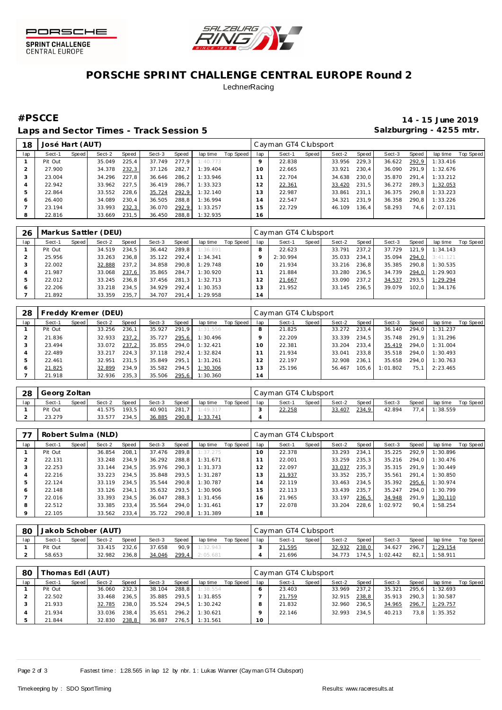



## **PORSCHE SPRINT CHALLENGE CENTRAL EUROPE Round 2 LechnerRacing**

Laps and Sector Times - Track Session 5 **Salzburgring - 4255 mtr.** And Salzburgring - 4255 mtr.

**#PSCCE 14 - 15 June 2019**

| 18  | José Hart (AUT) |       |        |       |        |        |          |           |         | Cayman GT4 Clubsport |       |        |         |        |       |          |           |
|-----|-----------------|-------|--------|-------|--------|--------|----------|-----------|---------|----------------------|-------|--------|---------|--------|-------|----------|-----------|
| lap | Sect-1          | Speed | Sect-2 | Speed | Sect-3 | Speed  | lap time | Top Speed | lap     | Sect-1               | Speed | Sect-2 | Speed ! | Sect-3 | Speed | lap time | Top Speed |
|     | Pit Out         |       | 35.049 | 225.4 | 37.749 | 277.9  | 1:40.773 |           | $\circ$ | 22.838               |       | 33.956 | 229.3   | 36.622 | 292,9 | 1:33.416 |           |
|     | 27.900          |       | 34.378 | 232,3 | 37.126 | 282.7  | 1:39.404 |           | 10      | 22.665               |       | 33.921 | 230.4   | 36.090 | 291.9 | 1:32.676 |           |
|     | 23.004          |       | 34.296 | 227.8 | 36.646 | 286, 2 | 1:33.946 |           |         | 22.704               |       | 34.638 | 230.0   | 35.870 | 291.4 | 1:33.212 |           |
|     | 22.942          |       | 33.962 | 227.5 | 36.419 | 286.7  | 1:33.323 |           | 12      | 22.361               |       | 33.420 | 231.5   | 36.272 | 289.3 | 1:32.053 |           |
| ь   | 22.864          |       | 33.552 | 228.6 | 35.724 | 292,9  | 1:32.140 |           | 13      | 22.987               |       | 33.861 | 231.1   | 36.375 | 290.8 | 1:33.223 |           |
| 6   | 26.400          |       | 34.089 | 230.4 | 36.505 | 288,8  | 1:36.994 |           | 14      | 22.547               |       | 34.321 | 231.9   | 36.358 | 290.8 | 1:33.226 |           |
|     | 23.194          |       | 33.993 | 232,3 | 36.070 | 292,9  | 1:33.257 |           | 15      | 22.729               |       | 46.109 | 136.4   | 58.293 | 74.6  | 2:07.131 |           |
| 8   | 22.816          |       | 33.669 | 231,5 | 36.450 | 288,8  | 1:32.935 |           | 16      |                      |       |        |         |        |       |          |           |

| 26  |         |       | Markus Sattler (DEU) |       |        |         |          |           |          | Cayman GT4 Clubsport |       |        |       |        |       |          |           |
|-----|---------|-------|----------------------|-------|--------|---------|----------|-----------|----------|----------------------|-------|--------|-------|--------|-------|----------|-----------|
| lap | Sect-1  | Speed | Sect-2               | Speed | Sect-3 | Speed   | lap time | Top Speed | lap      | Sect-1               | Speed | Sect-2 | Speed | Sect-3 | Speed | lap time | Top Speed |
|     | Pit Out |       | 34.519               | 234.5 | 36.442 | 289.8   | 1:36.891 |           |          | 22.623               |       | 33.791 | 237.2 | 37.729 | 121.9 | 1:34.143 |           |
|     | 25.956  |       | 33.263               | 236.8 | 35.122 | 292.4   | 1:34.341 |           |          | 2:30.994             |       | 35.033 | 234.1 | 35.094 | 294.0 | 3:41.121 |           |
|     | 22.002  |       | 32.888               | 237.2 | 34.858 | 290.8   | 1:29.748 |           | $\Omega$ | 21.934               |       | 33.216 | 236.8 | 35.385 | 290.8 | 1:30.535 |           |
| 4   | 21.987  |       | 33.068               | 237.6 | 35.865 | 284.7   | 1:30.920 |           |          | 21.884               |       | 33.280 | 236.5 | 34.739 | 294.0 | 1:29.903 |           |
|     | 22.012  |       | 33.245               | 236.8 | 37.456 | 281.3   | 1:32.713 |           |          | 21.667               |       | 33.090 | 237.2 | 34.537 | 293.5 | 1:29.294 |           |
| 6   | 22.206  |       | 33.218               | 234.5 | 34.929 | 292.4   | 1:30.353 |           | 13       | 21.952               |       | 33.145 | 236.5 | 39.079 | 102.0 | 1:34.176 |           |
|     | 21.892  |       | 33.359               | 235.7 | 34.707 | $291.4$ | 1:29.958 |           | 14       |                      |       |        |       |        |       |          |           |

| 28            |         |       | Freddy Kremer (DEU) |       |        |       |          |           |     | Cayman GT4 Clubsport |       |        |       |          |       |          |                  |
|---------------|---------|-------|---------------------|-------|--------|-------|----------|-----------|-----|----------------------|-------|--------|-------|----------|-------|----------|------------------|
| lap           | Sect-1  | Speed | Sect-2              | Speed | Sect-3 | Speed | lap time | Top Speed | lap | Sect-1               | Speed | Sect-2 | Speed | Sect-3   | Speed | lap time | <b>Top Speed</b> |
|               | Pit Out |       | 33.256              | 236.1 | 35.927 | 291.9 | 1:31.556 |           | 8   | 21.825               |       | 33.272 | 233.4 | 36.140   | 294.0 | 1:31.237 |                  |
|               | 21.836  |       | 32.933              | 237,2 | 35.727 | 295,6 | 1:30.496 |           |     | 22.209               |       | 33.339 | 234.5 | 35.748   | 291.9 | 1:31.296 |                  |
|               | 23.494  |       | 33.072              | 237,2 | 35.855 | 294.0 | 1:32.421 |           | 10  | 22.381               |       | 33.204 | 233.4 | 35.419   | 294.0 | 1:31.004 |                  |
|               | 22.489  |       | 33.217              | 224.3 | 37.118 | 292.4 | 1:32.824 |           |     | 21.934               |       | 33.041 | 233.8 | 35.518   | 294.0 | 1:30.493 |                  |
| $\mathcal{D}$ | 22.461  |       | 32.951              | 231.5 | 35.849 | 295.1 | 1:31.261 |           |     | 22.197               |       | 32.908 | 236.1 | 35.658   | 294.0 | 1:30.763 |                  |
| O             | 21.825  |       | 32.899              | 234.9 | 35.582 | 294.5 | 1:30.306 |           |     | 25.196               |       | 56.467 | 105.6 | 1:01.802 | 75.1  | 2:23.465 |                  |
|               | 21.918  |       | 32.936              | 235.3 | 35.506 | 295,6 | 1:30.360 |           | 14  |                      |       |        |       |          |       |          |                  |

| 28  | Georg Zoltan |       |        |              |        |       |          |           |     | Cayman GT4 Clubsport |       |        |       |        |       |          |           |
|-----|--------------|-------|--------|--------------|--------|-------|----------|-----------|-----|----------------------|-------|--------|-------|--------|-------|----------|-----------|
| lap | Sect-1       | Speed | Sect-2 | <b>Speed</b> | Sect-3 | Speed | lap time | Top Speed | lap | Sect-1               | Speed | Sect-2 | Speed | Sect-3 | Speed | lap time | Top Speed |
|     | Pit Out      |       | 41.575 | 193.5        | 40.901 | 281.7 | 1:49.317 |           |     | 22.258               |       | 33.407 | 234,9 | 42.894 | 77.4  | 1:38.559 |           |
|     | 23.279       |       | 33.577 | 234.5        | 36.885 | 290,8 | 1:33.741 |           |     |                      |       |        |       |        |       |          |           |

| 77      |         |       | Robert Sulma (NLD) |       |        |       |          |           |     | Cayman GT4 Clubsport |       |        |       |          |       |          |           |
|---------|---------|-------|--------------------|-------|--------|-------|----------|-----------|-----|----------------------|-------|--------|-------|----------|-------|----------|-----------|
| lap     | Sect-1  | Speed | Sect-2             | Speed | Sect-3 | Speed | lap time | Top Speed | lap | Sect-1               | Speed | Sect-2 | Speed | Sect-3   | Speed | lap time | Top Speed |
|         | Pit Out |       | 36.854             | 208.1 | 37.476 | 289.8 | 1:37.275 |           | 10  | 22.378               |       | 33.293 | 234.1 | 35.225   | 292.9 | 1:30.896 |           |
|         | 22.131  |       | 33.248             | 234.9 | 36.292 | 288.8 | 1:31.671 |           |     | 22.001               |       | 33.259 | 235.3 | 35.216   | 294.0 | 1:30.476 |           |
| 3       | 22.253  |       | 33.144             | 234.5 | 35.976 | 290.3 | 1:31.373 |           | 12  | 22.097               |       | 33.037 | 235,3 | 35.315   | 291.9 | 1:30.449 |           |
| 4       | 22.216  |       | 33.223             | 234.5 | 35.848 | 293.5 | 1:31.287 |           | 13  | 21.937               |       | 33.352 | 235.7 | 35.561   | 291.4 | 1:30.850 |           |
| 5       | 22.124  |       | 33.119             | 234.5 | 35.544 | 290.8 | 1:30.787 |           | 14  | 22.119               |       | 33.463 | 234.5 | 35.392   | 295,6 | 1:30.974 |           |
| Ô       | 22.148  |       | 33.126             | 234.1 | 35.632 | 293.5 | 1:30.906 |           | 15  | 22.113               |       | 33.439 | 235.7 | 35.247   | 294.0 | 1:30.799 |           |
|         | 22.016  |       | 33.393             | 234.5 | 36.047 | 288.3 | 1:31.456 |           | 6   | 21.965               |       | 33.197 | 236,5 | 34.948   | 291,9 | 1:30.110 |           |
| 8       | 22.512  |       | 33.385             | 233.4 | 35.564 | 294.0 | 1:31.461 |           | 17  | 22.078               |       | 33.204 | 228.6 | 1:02.972 | 90,4  | 1:58.254 |           |
| $\circ$ | 22.105  |       | 33.562             | 233.4 | 35.722 | 290.8 | 1:31.389 |           | 18  |                      |       |        |       |          |       |          |           |

| 80  | Jakob Schober (AUT) |       |        |       |        |       |          |           |     | Cayman GT4 Clubsport |       |              |       |          |       |                |           |  |  |
|-----|---------------------|-------|--------|-------|--------|-------|----------|-----------|-----|----------------------|-------|--------------|-------|----------|-------|----------------|-----------|--|--|
| lap | Sect-1              | Speed | Sect-2 | Speed | Sect-3 | Speed | lap time | Top Speed | lap | Sect-1               | Speed | Sect-2       | Speed | Sect-3   | Speed | lap time       | Top Speed |  |  |
|     | Pit Out             |       | 33.415 | 232.6 | 37.658 | 90.9  | 1:32.943 |           |     | 21.595               |       | 32.932       | 238,0 | 34.627   |       | 296,7 1:29.154 |           |  |  |
|     | 58.653              |       | 32.982 | 236,8 | 34.046 | 299,4 | 2:05.681 |           |     | 21.696               |       | 34.773 174.5 |       | 1:02.442 | 82.1  | 1:58.911       |           |  |  |

| 80  | homas EdI (AUT) |       |        |       |        |       |          |           |     | Cayman GT4 Clubsport |         |        |       |        |       |          |           |  |  |  |
|-----|-----------------|-------|--------|-------|--------|-------|----------|-----------|-----|----------------------|---------|--------|-------|--------|-------|----------|-----------|--|--|--|
| lap | Sect-1          | Speed | Sect-2 | Speed | Sect-3 | Speed | lap time | Top Speed | lap | Sect-1               | Speed I | Sect-2 | Speed | Sect-3 | Speed | lap time | Top Speed |  |  |  |
|     | Pit Out         |       | 36.060 | 232.3 | 38.104 | 288.8 | 1:38.554 |           |     | 23.403               |         | 33.969 | 237.2 | 35.321 | 295.6 | 1:32.693 |           |  |  |  |
|     | 22.502          |       | 33.468 | 236.5 | 35.885 | 293.5 | 1:31.855 |           |     | 21.759               |         | 32.915 | 238.8 | 35.913 | 290.3 | 1:30.587 |           |  |  |  |
|     | 21.933          |       | 32.785 | 238.0 | 35.524 | 294.5 | 1:30.242 |           |     | 21.832               |         | 32.960 | 236.5 | 34.965 | 296,7 | 1:29.757 |           |  |  |  |
|     | 21.934          |       | 33.036 | 238.4 | 35.651 | 296.2 | 1:30.621 |           |     | 22.146               |         | 32.993 | 234.5 | 40.213 | 73.8  | 1:35.352 |           |  |  |  |
|     | 21.844          |       | 32.830 | 238,8 | 36.887 | 276.5 | 1:31.561 |           | 10  |                      |         |        |       |        |       |          |           |  |  |  |